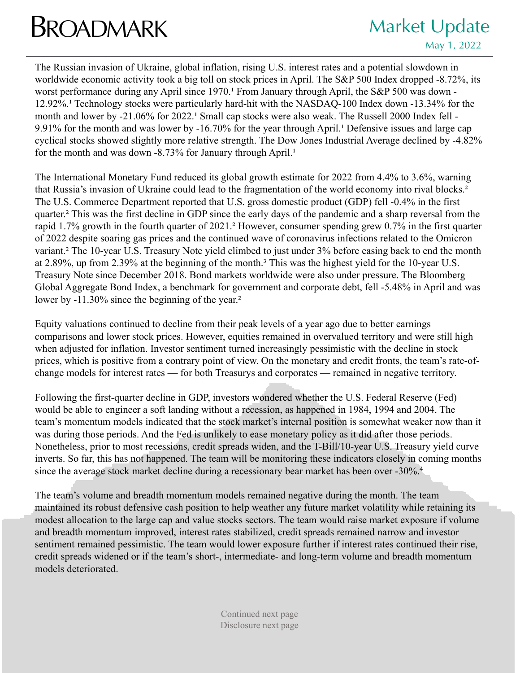## **BROADMARK** Market Update

## May 1, 2022

The Russian invasion of Ukraine, global inflation, rising U.S. interest rates and a potential slowdown in worldwide economic activity took a big toll on stock prices in April. The S&P 500 Index dropped -8.72%, its worst performance during any April since 1970.<sup>1</sup> From January through April, the S&P 500 was down -12.92%.<sup>1</sup> Technology stocks were particularly hard-hit with the NASDAQ-100 Index down -13.34% for the month and lower by -21.06% for 2022.<sup>1</sup> Small cap stocks were also weak. The Russell 2000 Index fell -9.91% for the month and was lower by  $-16.70\%$  for the year through April.<sup>1</sup> Defensive issues and large cap cyclical stocks showed slightly more relative strength. The Dow Jones Industrial Average declined by -4.82% for the month and was down  $-8.73\%$  for January through April.<sup>1</sup>

The International Monetary Fund reduced its global growth estimate for 2022 from 4.4% to 3.6%, warning that Russia's invasion of Ukraine could lead to the fragmentation of the world economy into rival blocks.<sup>2</sup> The U.S. Commerce Department reported that U.S. gross domestic product (GDP) fell -0.4% in the first quarter.² This was the first decline in GDP since the early days of the pandemic and a sharp reversal from the rapid 1.7% growth in the fourth quarter of 2021.² However, consumer spending grew 0.7% in the first quarter of 2022 despite soaring gas prices and the continued wave of coronavirus infections related to the Omicron variant.² The 10-year U.S. Treasury Note yield climbed to just under 3% before easing back to end the month at 2.89%, up from 2.39% at the beginning of the month.<sup>3</sup> This was the highest yield for the 10-year U.S. Treasury Note since December 2018. Bond markets worldwide were also under pressure. The Bloomberg Global Aggregate Bond Index, a benchmark for government and corporate debt, fell -5.48% in April and was lower by -11.30% since the beginning of the year.<sup>2</sup>

Equity valuations continued to decline from their peak levels of a year ago due to better earnings comparisons and lower stock prices. However, equities remained in overvalued territory and were still high when adjusted for inflation. Investor sentiment turned increasingly pessimistic with the decline in stock prices, which is positive from a contrary point of view. On the monetary and credit fronts, the team's rate-ofchange models for interest rates — for both Treasurys and corporates — remained in negative territory.

Following the first-quarter decline in GDP, investors wondered whether the U.S. Federal Reserve (Fed) would be able to engineer a soft landing without a recession, as happened in 1984, 1994 and 2004. The team's momentum models indicated that the stock market's internal position is somewhat weaker now than it was during those periods. And the Fed is unlikely to ease monetary policy as it did after those periods. Nonetheless, prior to most recessions, credit spreads widen, and the T-Bill/10-year U.S. Treasury yield curve inverts. So far, this has not happened. The team will be monitoring these indicators closely in coming months since the average stock market decline during a recessionary bear market has been over -30%.<sup>4</sup>

The team's volume and breadth momentum models remained negative during the month. The team maintained its robust defensive cash position to help weather any future market volatility while retaining its modest allocation to the large cap and value stocks sectors. The team would raise market exposure if volume and breadth momentum improved, interest rates stabilized, credit spreads remained narrow and investor sentiment remained pessimistic. The team would lower exposure further if interest rates continued their rise, credit spreads widened or if the team's short-, intermediate- and long-term volume and breadth momentum models deteriorated.

> Continued next page Disclosure next page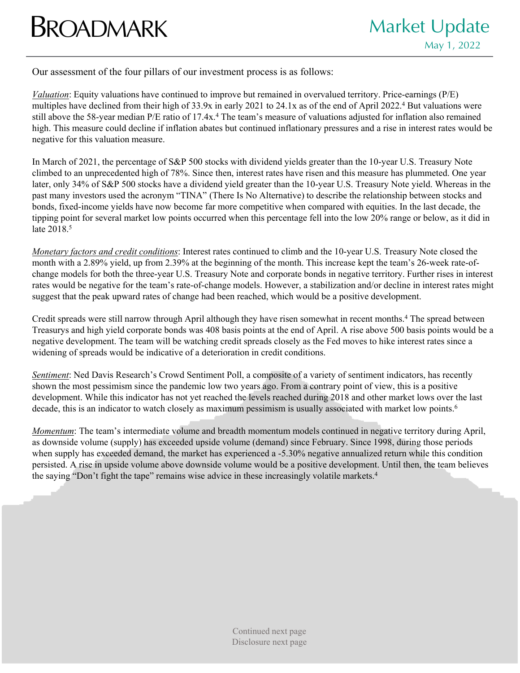## **BROADMARK** Market Update

Our assessment of the four pillars of our investment process is as follows:

*Valuation*: Equity valuations have continued to improve but remained in overvalued territory. Price-earnings (P/E) multiples have declined from their high of 33.9x in early 2021 to 24.1x as of the end of April 2022.4 But valuations were still above the 58-year median P/E ratio of 17.4x.<sup>4</sup> The team's measure of valuations adjusted for inflation also remained high. This measure could decline if inflation abates but continued inflationary pressures and a rise in interest rates would be negative for this valuation measure.

In March of 2021, the percentage of S&P 500 stocks with dividend yields greater than the 10-year U.S. Treasury Note climbed to an unprecedented high of 78%. Since then, interest rates have risen and this measure has plummeted. One year later, only 34% of S&P 500 stocks have a dividend yield greater than the 10-year U.S. Treasury Note yield. Whereas in the past many investors used the acronym "TINA" (There Is No Alternative) to describe the relationship between stocks and bonds, fixed-income yields have now become far more competitive when compared with equities. In the last decade, the tipping point for several market low points occurred when this percentage fell into the low 20% range or below, as it did in late 2018.<sup>5</sup>

*Monetary factors and credit conditions*: Interest rates continued to climb and the 10-year U.S. Treasury Note closed the month with a 2.89% yield, up from 2.39% at the beginning of the month. This increase kept the team's 26-week rate-ofchange models for both the three-year U.S. Treasury Note and corporate bonds in negative territory. Further rises in interest rates would be negative for the team's rate-of-change models. However, a stabilization and/or decline in interest rates might suggest that the peak upward rates of change had been reached, which would be a positive development.

Credit spreads were still narrow through April although they have risen somewhat in recent months.4 The spread between Treasurys and high yield corporate bonds was 408 basis points at the end of April. A rise above 500 basis points would be a negative development. The team will be watching credit spreads closely as the Fed moves to hike interest rates since a widening of spreads would be indicative of a deterioration in credit conditions.

*Sentiment*: Ned Davis Research's Crowd Sentiment Poll, a composite of a variety of sentiment indicators, has recently shown the most pessimism since the pandemic low two years ago. From a contrary point of view, this is a positive development. While this indicator has not yet reached the levels reached during 2018 and other market lows over the last decade, this is an indicator to watch closely as maximum pessimism is usually associated with market low points.<sup>6</sup>

*Momentum*: The team's intermediate volume and breadth momentum models continued in negative territory during April, as downside volume (supply) has exceeded upside volume (demand) since February. Since 1998, during those periods when supply has exceeded demand, the market has experienced a -5.30% negative annualized return while this condition persisted. A rise in upside volume above downside volume would be a positive development. Until then, the team believes the saying "Don't fight the tape" remains wise advice in these increasingly volatile markets.<sup>4</sup>